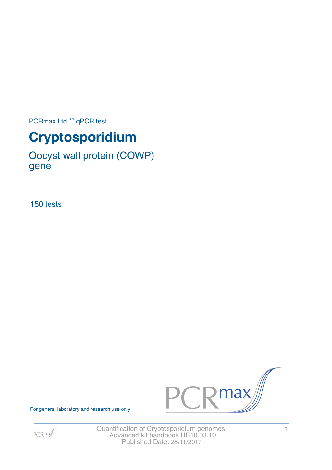PCRmax Ltd  $™$  qPCR test

# **Cryptosporidium**

Oocyst wall protein (COWP) gene

150 tests



For general laboratory and research use only



Quantification of Cryptosporidium genomes. 1 Advanced kit handbook HB10.03.10 Published Date: 28/11/2017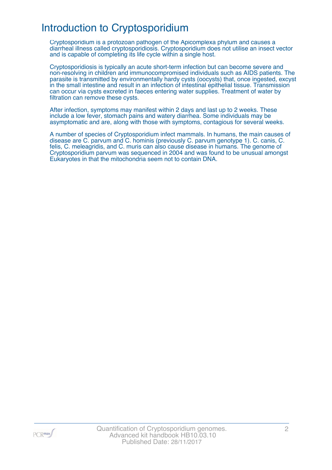# Introduction to Cryptosporidium

Cryptosporidium is a protozoan pathogen of the Apicomplexa phylum and causes a diarrheal illness called cryptosporidiosis. Cryptosporidium does not utilise an insect vector and is capable of completing its life cycle within a single host.

Cryptosporidiosis is typically an acute short-term infection but can become severe and non-resolving in children and immunocompromised individuals such as AIDS patients. The parasite is transmitted by environmentally hardy cysts (oocysts) that, once ingested, excyst in the small intestine and result in an infection of intestinal epithelial tissue. Transmission can occur via cysts excreted in faeces entering water supplies. Treatment of water by filtration can remove these cysts.

After infection, symptoms may manifest within 2 days and last up to 2 weeks. These include a low fever, stomach pains and watery diarrhea. Some individuals may be asymptomatic and are, along with those with symptoms, contagious for several weeks.

A number of species of Cryptosporidium infect mammals. In humans, the main causes of disease are C. parvum and C. hominis (previously C. parvum genotype 1). C. canis, C. felis, C. meleagridis, and C. muris can also cause disease in humans. The genome of Cryptosporidium parvum was sequenced in 2004 and was found to be unusual amongst Eukaryotes in that the mitochondria seem not to contain DNA.

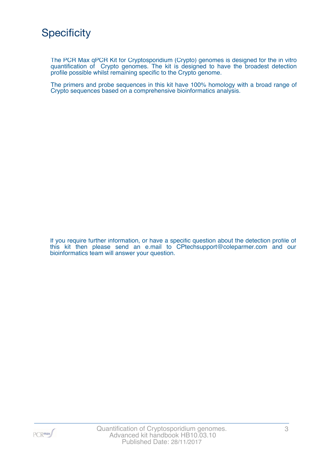The PCR Max qPCR Kit for Cryptosporidium (Crypto) genomes is designed for the in vitro quantification of Crypto genomes. The kit is designed to have the broadest detection profile possible whilst remaining specific to the Crypto genome.

The primers and probe sequences in this kit have 100% homology with a broad range of Crypto sequences based on a comprehensive bioinformatics analysis.

If you require further information, or have a specific question about the detection profile of this kit then please send an e.mail to CPtechsupport@coleparmer.com and our bioinformatics team will answer your question.

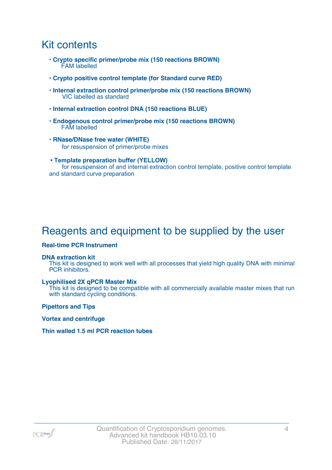### Kit contents

- **Crypto specific primer/probe mix (150 reactions BROWN)** FAM labelled
- **Crypto positive control template (for Standard curve RED)**
- **Internal extraction control primer/probe mix (150 reactions BROWN)** VIC labelled as standard
- **Internal extraction control DNA (150 reactions BLUE)**
- **Endogenous control primer/probe mix (150 reactions BROWN)** FAM labelled
- **RNase/DNase free water (WHITE)** for resuspension of primer/probe mixes
- **Template preparation buffer (YELLOW)** for resuspension of and internal extraction control template, positive control template and standard curve preparation

# Reagents and equipment to be supplied by the user

#### **Real-time PCR Instrument**

#### **DNA extraction kit**

This kit is designed to work well with all processes that yield high quality DNA with minimal PCR inhibitors.

#### **Lyophilised 2X qPCR Master Mix**

This kit is designed to be compatible with all commercially available master mixes that run with standard cycling conditions.

**Pipettors and Tips**

**Vortex and centrifuge**

#### **Thin walled 1.5 ml PCR reaction tubes**

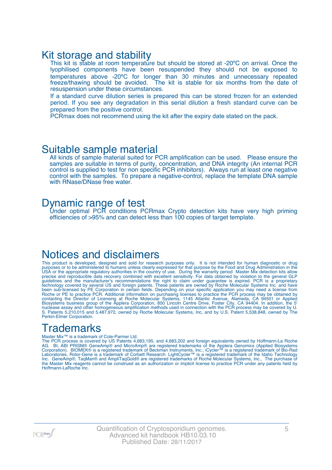### Kit storage and stability

This kit is stable at room temperature but should be stored at -20°C on arrival. Once the lyophilised components have been resuspended they should not be exposed to temperatures above -20ºC for longer than 30 minutes and unnecessary repeated freeze/thawing should be avoided. The kit is stable for six months from the date of resuspension under these circumstances.

If a standard curve dilution series is prepared this can be stored frozen for an extended period. If you see any degradation in this serial dilution a fresh standard curve can be prepared from the positive control.

PCRmax does not recommend using the kit after the expiry date stated on the pack.

### Suitable sample material

All kinds of sample material suited for PCR amplification can be used. Please ensure the samples are suitable in terms of purity, concentration, and DNA integrity (An internal PCR control is supplied to test for non specific PCR inhibitors). Always run at least one negative control with the samples. To prepare a negative-control, replace the template DNA sample with RNase/DNase free water.

### Dynamic range of test

Under optimal PCR conditions PCRmax Crypto detection kits have very high priming efficiencies of >95% and can detect less than 100 copies of target template.

### Notices and disclaimers

This product is developed, designed and sold for research purposes only. It is not intended for human diagnostic or drug purposes or to be administered to humans unless clearly expressed for that purpose by the Food and Drug Administration in the USA or the appropriate regulatory authorities in the country of use. During the warranty period Master Mix detection kits allow precise and reproducible data recovery combined with excellent sensitivity. For data obtained by violation to the general GLP guidelines and the manufacturer's recommendations the right to claim under guarantee is expired. PCR is a proprietary technology covered by several US and foreign patents. These patents are owned by Roche Molecular Systems Inc. and have been sub-licensed by PE Corporation in certain fields. Depending on your specific application you may need a license from Roche or PE to practice PCR. Additional information on purchasing licenses to practice the PCR process may be obtained by contacting the Director of Licensing at Roche Molecular Systems, 1145 Atlantic Avenue, Alameda, CA 94501 or Applied Biosystems business group of the Applera Corporation, 850 Lincoln Centre Drive, Foster City, CA 94404. In addition, the 5' nuclease assay and other homogeneous amplification methods used in connection with the PCR process may be covered by U. S. Patents 5,210,015 and 5,487,972, owned by Roche Molecular Systems, Inc, and by U.S. Patent 5,538,848, owned by The Perkin-Elmer Corporation.

### **Trademarks**

#### Master Mix™ is a trademark of Cole-Parmer Ltd.

The PCR process is covered by US Patents 4,683,195, and 4,683,202 and foreign equivalents owned by Hoffmann-La Roche AG. BI, ABI PRISM® GeneAmp® and MicroAmp® are registered trademarks of the Applera Genomics (Applied Biosystems Corporation). BIOMEK® is a registered trademark of Beckman Instruments, Inc.; iCycler™ is a registered trademark of Bio-Rad Laboratories, Rotor-Gene is a trademark of Corbett Research. LightCycler™ is a registered trademark of the Idaho Technology Inc. GeneAmp®, TaqMan® and AmpliTaqGold® are registered trademarks of Roche Molecular Systems, Inc., The purchase of the Master Mix reagents cannot be construed as an authorization or implicit license to practice PCR under any patents held by Hoffmann-LaRoche Inc.

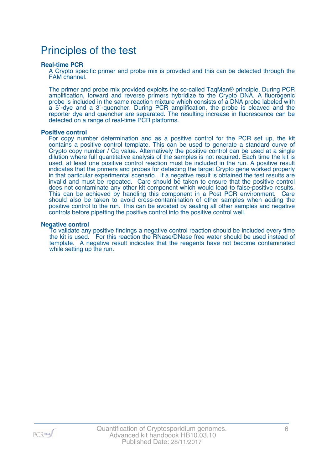### Principles of the test

#### **Real-time PCR**

A Crypto specific primer and probe mix is provided and this can be detected through the FAM channel.

The primer and probe mix provided exploits the so-called TaqMan® principle. During PCR amplification, forward and reverse primers hybridize to the Crypto DNA. A fluorogenic probe is included in the same reaction mixture which consists of a DNA probe labeled with a 5`-dye and a 3`-quencher. During PCR amplification, the probe is cleaved and the reporter dye and quencher are separated. The resulting increase in fluorescence can be detected on a range of real-time PCR platforms.

#### **Positive control**

For copy number determination and as a positive control for the PCR set up, the kit contains a positive control template. This can be used to generate a standard curve of Crypto copy number / Cq value. Alternatively the positive control can be used at a single dilution where full quantitative analysis of the samples is not required. Each time the kit is used, at least one positive control reaction must be included in the run. A positive result indicates that the primers and probes for detecting the target Crypto gene worked properly in that particular experimental scenario. If a negative result is obtained the test results are invalid and must be repeated. Care should be taken to ensure that the positive control does not contaminate any other kit component which would lead to false-positive results. This can be achieved by handling this component in a Post PCR environment. Care should also be taken to avoid cross-contamination of other samples when adding the positive control to the run. This can be avoided by sealing all other samples and negative controls before pipetting the positive control into the positive control well.

#### **Negative control**

To validate any positive findings a negative control reaction should be included every time the kit is used. For this reaction the RNase/DNase free water should be used instead of template. A negative result indicates that the reagents have not become contaminated while setting up the run.

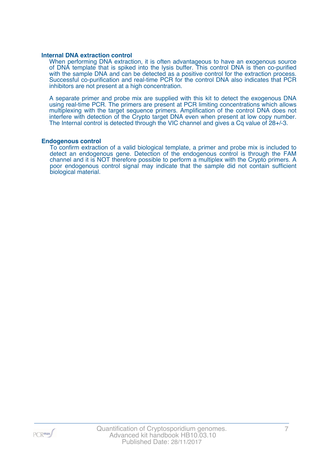#### **Internal DNA extraction control**

When performing DNA extraction, it is often advantageous to have an exogenous source of DNA template that is spiked into the lysis buffer. This control DNA is then co-purified with the sample DNA and can be detected as a positive control for the extraction process. Successful co-purification and real-time PCR for the control DNA also indicates that PCR inhibitors are not present at a high concentration.

A separate primer and probe mix are supplied with this kit to detect the exogenous DNA using real-time PCR. The primers are present at PCR limiting concentrations which allows multiplexing with the target sequence primers. Amplification of the control DNA does not interfere with detection of the Crypto target DNA even when present at low copy number. The Internal control is detected through the VIC channel and gives a Cq value of 28+/-3.

#### **Endogenous control**

To confirm extraction of a valid biological template, a primer and probe mix is included to detect an endogenous gene. Detection of the endogenous control is through the FAM channel and it is NOT therefore possible to perform a multiplex with the Crypto primers. A poor endogenous control signal may indicate that the sample did not contain sufficient biological material.

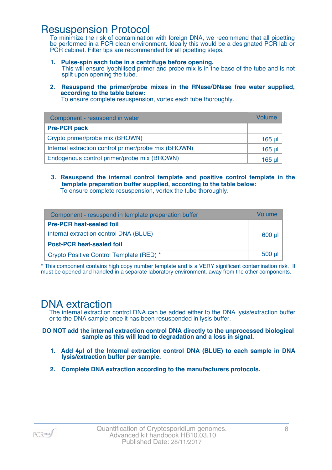### Resuspension Protocol

To minimize the risk of contamination with foreign DNA, we recommend that all pipetting be performed in a PCR clean environment. Ideally this would be a designated PCR lab or PCR cabinet. Filter tips are recommended for all pipetting steps.

- **1. Pulse-spin each tube in a centrifuge before opening.** This will ensure lyophilised primer and probe mix is in the base of the tube and is not spilt upon opening the tube.
- **2. Resuspend the primer/probe mixes in the RNase/DNase free water supplied, according to the table below:**

To ensure complete resuspension, vortex each tube thoroughly.

| Component - resuspend in water                       | Volume  |
|------------------------------------------------------|---------|
| <b>Pre-PCR pack</b>                                  |         |
| Crypto primer/probe mix (BROWN)                      | 165 µl  |
| Internal extraction control primer/probe mix (BROWN) | $165$ µ |
| Endogenous control primer/probe mix (BROWN)          | 165 ul  |

**3. Resuspend the internal control template and positive control template in the template preparation buffer supplied, according to the table below:** To ensure complete resuspension, vortex the tube thoroughly.

| Component - resuspend in template preparation buffer |             |  |
|------------------------------------------------------|-------------|--|
| <b>Pre-PCR heat-sealed foil</b>                      |             |  |
| Internal extraction control DNA (BLUE)               | 600 µl      |  |
| <b>Post-PCR heat-sealed foil</b>                     |             |  |
| Crypto Positive Control Template (RED) *             | $500$ $\mu$ |  |

\* This component contains high copy number template and is a VERY significant contamination risk. It must be opened and handled in a separate laboratory environment, away from the other components.

### DNA extraction

The internal extraction control DNA can be added either to the DNA lysis/extraction buffer or to the DNA sample once it has been resuspended in lysis buffer.

#### **DO NOT add the internal extraction control DNA directly to the unprocessed biological sample as this will lead to degradation and a loss in signal.**

- **1. Add 4µl of the Internal extraction control DNA (BLUE) to each sample in DNA lysis/extraction buffer per sample.**
- **2. Complete DNA extraction according to the manufacturers protocols.**

PCR<sub>max</sub>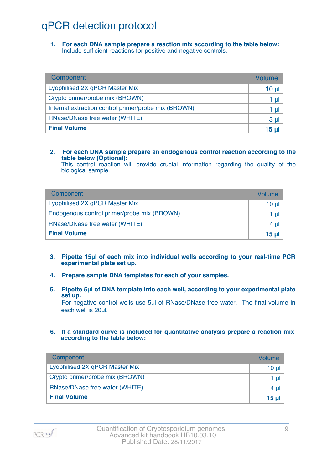# qPCR detection protocol

**1. For each DNA sample prepare a reaction mix according to the table below:** Include sufficient reactions for positive and negative controls.

| Component                                            | Volume          |
|------------------------------------------------------|-----------------|
| Lyophilised 2X qPCR Master Mix                       | $10 \mu$        |
| Crypto primer/probe mix (BROWN)                      | 1 µl            |
| Internal extraction control primer/probe mix (BROWN) | 1 µl            |
| RNase/DNase free water (WHITE)                       | 3 <sub>µ</sub>  |
| <b>Final Volume</b>                                  | 15 <sub>µ</sub> |

#### **2. For each DNA sample prepare an endogenous control reaction according to the table below (Optional):**

This control reaction will provide crucial information regarding the quality of the biological sample.

| Component                                   | Volume       |
|---------------------------------------------|--------------|
| Lyophilised 2X qPCR Master Mix              | 10 ul        |
| Endogenous control primer/probe mix (BROWN) | 1 ul         |
| RNase/DNase free water (WHITE)              | $4 \mu$      |
| <b>Final Volume</b>                         | <u>15 ul</u> |

- **3. Pipette 15µl of each mix into individual wells according to your real-time PCR experimental plate set up.**
- **4. Prepare sample DNA templates for each of your samples.**
- **5. Pipette 5µl of DNA template into each well, according to your experimental plate set up.**

For negative control wells use 5µl of RNase/DNase free water. The final volume in each well is 20ul.

**6. If a standard curve is included for quantitative analysis prepare a reaction mix according to the table below:**

| Component                       | Volume   |
|---------------------------------|----------|
| Lyophilised 2X qPCR Master Mix  | $10 \mu$ |
| Crypto primer/probe mix (BROWN) | 1 $\mu$  |
| RNase/DNase free water (WHITE)  | 4 $\mu$  |
| <b>Final Volume</b>             | 15 $\mu$ |

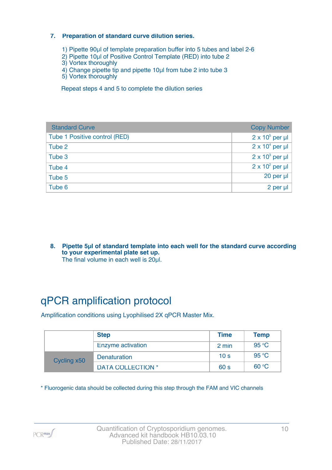#### **7. Preparation of standard curve dilution series.**

- 1) Pipette 90µl of template preparation buffer into 5 tubes and label 2-6
- 2) Pipette 10µl of Positive Control Template (RED) into tube 2
- 3) Vortex thoroughly
- 4) Change pipette tip and pipette 10µl from tube 2 into tube 3
- 5) Vortex thoroughly

Repeat steps 4 and 5 to complete the dilution series

| <b>Standard Curve</b>         | <b>Copy Number</b>     |
|-------------------------------|------------------------|
| Tube 1 Positive control (RED) | $2 \times 10^5$ per µl |
| Tube 2                        | $2 \times 10^4$ per µl |
| Tube 3                        | $2 \times 10^3$ per µl |
| Tube 4                        | $2 \times 10^2$ per µl |
| Tube 5                        | 20 per µl              |
| Tube 6                        | 2 per µl               |

**8. Pipette 5µl of standard template into each well for the standard curve according to your experimental plate set up.** The final volume in each well is 20µl.

# qPCR amplification protocol

Amplification conditions using Lyophilised 2X qPCR Master Mix.

|             | <b>Step</b>              | <b>Time</b>     | <b>Temp</b> |
|-------------|--------------------------|-----------------|-------------|
|             | Enzyme activation        | 2 min           | 95 °C       |
| Cycling x50 | <b>Denaturation</b>      | 10 <sub>s</sub> | 95 °C       |
|             | <b>DATA COLLECTION *</b> | 60 <sub>s</sub> | 60 °C       |

\* Fluorogenic data should be collected during this step through the FAM and VIC channels

PCR<sub>max</sub>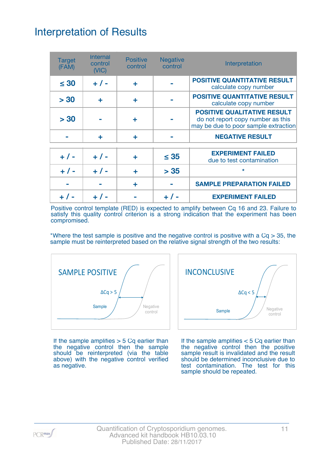# Interpretation of Results

| <b>Target</b><br>(FAM) | <b>Internal</b><br>control<br>(VIC) | <b>Positive</b><br>control | <b>Negative</b><br>control | Interpretation                                                                                                  |
|------------------------|-------------------------------------|----------------------------|----------------------------|-----------------------------------------------------------------------------------------------------------------|
| $\leq 30$              | $+ 1 -$                             | ÷                          |                            | <b>POSITIVE QUANTITATIVE RESULT</b><br>calculate copy number                                                    |
| > 30                   | ÷                                   | ÷                          |                            | <b>POSITIVE QUANTITATIVE RESULT</b><br>calculate copy number                                                    |
| > 30                   |                                     | ٠                          |                            | <b>POSITIVE QUALITATIVE RESULT</b><br>do not report copy number as this<br>may be due to poor sample extraction |
|                        | ÷                                   | ÷                          |                            | <b>NEGATIVE RESULT</b>                                                                                          |
| $+ 1 -$                | $+ 1 -$                             | ٠                          | $\leq 35$                  | <b>EXPERIMENT FAILED</b><br>due to test contamination                                                           |
| $+ 1 -$                | $+ 1 -$                             | ÷                          | > 35                       | $\star$                                                                                                         |
|                        |                                     | ÷                          |                            | <b>SAMPLE PREPARATION FAILED</b>                                                                                |
|                        |                                     |                            |                            | <b>EXPERIMENT FAILED</b>                                                                                        |

Positive control template (RED) is expected to amplify between Cq 16 and 23. Failure to satisfy this quality control criterion is a strong indication that the experiment has been compromised.

\*Where the test sample is positive and the negative control is positive with a  $Cq > 35$ , the sample must be reinterpreted based on the relative signal strength of the two results:



If the sample amplifies  $>$  5 Cq earlier than the negative control then the sample should be reinterpreted (via the table above) with the negative control verified as negative.



If the sample amplifies < 5 Cq earlier than the negative control then the positive sample result is invalidated and the result should be determined inconclusive due to test contamination. The test for this sample should be repeated.